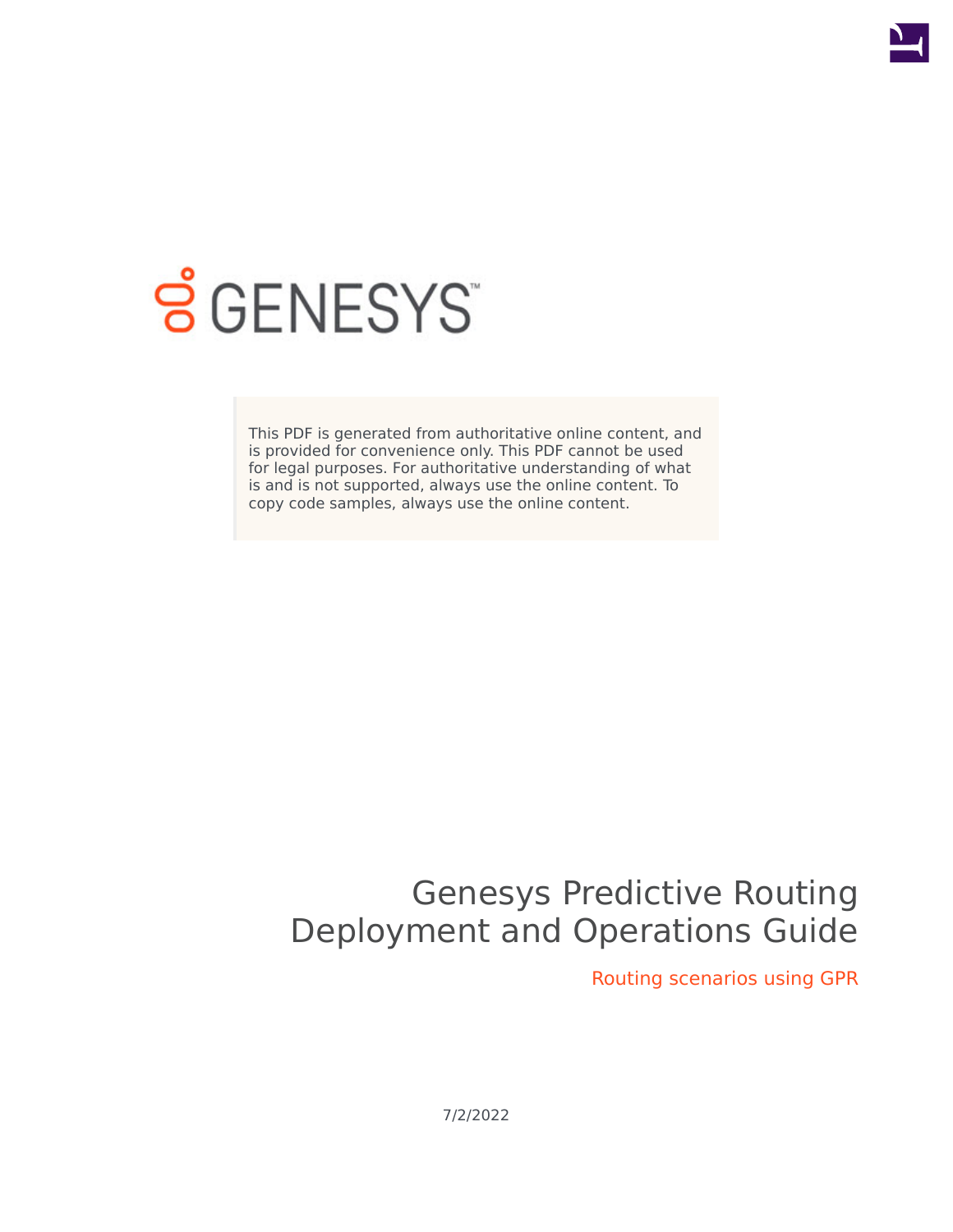

# **S** GENESYS

This PDF is generated from authoritative online content, and is provided for convenience only. This PDF cannot be used for legal purposes. For authoritative understanding of what is and is not supported, always use the online content. To copy code samples, always use the online content.

## Genesys Predictive Routing Deployment and Operations Guide

Routing scenarios using GPR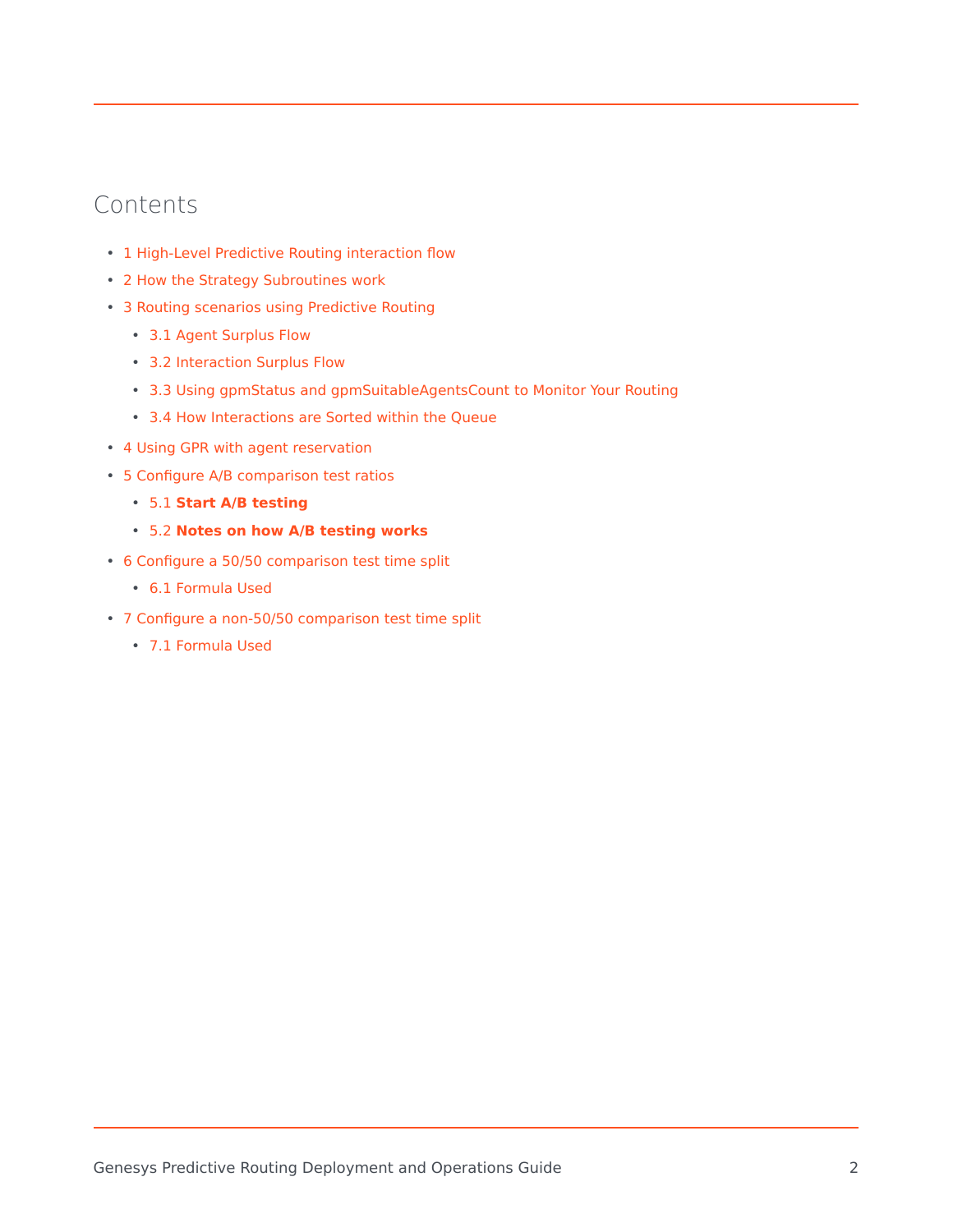## Contents

- 1 [High-Level Predictive Routing interaction flow](#page-2-0)
- 2 [How the Strategy Subroutines work](#page-3-0)
- 3 [Routing scenarios using Predictive Routing](#page-5-0)
	- 3.1 [Agent Surplus Flow](#page-6-0)
	- 3.2 [Interaction Surplus Flow](#page-6-1)
	- 3.3 [Using gpmStatus and gpmSuitableAgentsCount to Monitor Your Routing](#page-7-0)
	- 3.4 [How Interactions are Sorted within the Queue](#page-7-1)
- 4 [Using GPR with agent reservation](#page-11-0)
- 5 [Configure A/B comparison test ratios](#page-13-0)
	- 5.1 **[Start A/B testing](#page-13-1)**
	- 5.2 **[Notes on how A/B testing works](#page-13-2)**
- 6 [Configure a 50/50 comparison test time split](#page-14-0)
	- 6.1 [Formula Used](#page-14-1)
- 7 [Configure a non-50/50 comparison test time split](#page-15-0)
	- 7.1 [Formula Used](#page-16-0)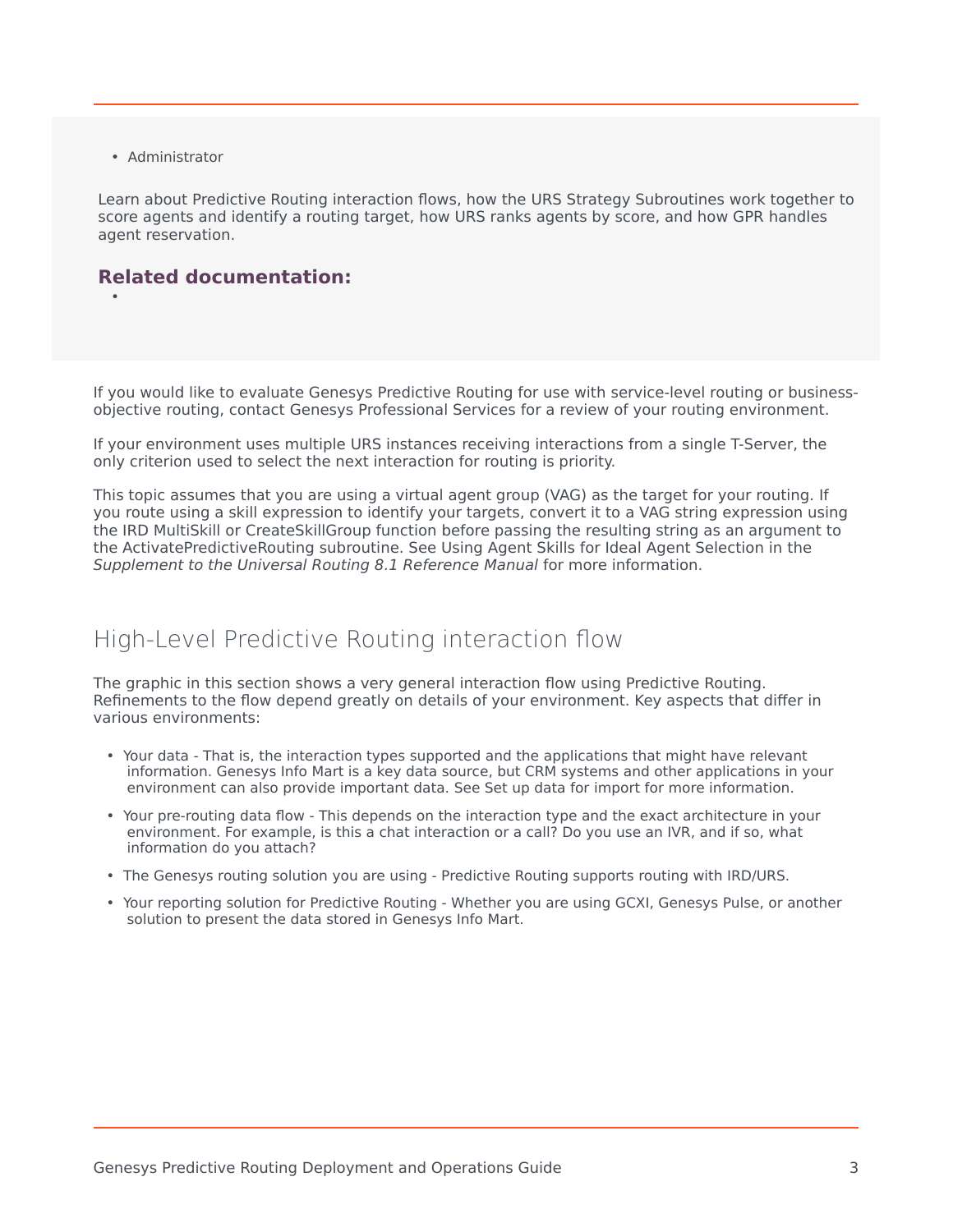• Administrator

•

Learn about Predictive Routing interaction flows, how the URS Strategy Subroutines work together to score agents and identify a routing target, how URS ranks agents by score, and how GPR handles agent reservation.

#### **Related documentation:**

If you would like to evaluate Genesys Predictive Routing for use with service-level routing or businessobjective routing, contact Genesys Professional Services for a review of your routing environment.

If your environment uses multiple URS instances receiving interactions from a single T-Server, the only criterion used to select the next interaction for routing is priority.

This topic assumes that you are using a virtual agent group (VAG) as the target for your routing. If you route using a skill expression to identify your targets, convert it to a VAG string expression using the IRD MultiSkill or CreateSkillGroup function before passing the resulting string as an argument to the ActivatePredictiveRouting subroutine. See Using Agent Skills for Ideal Agent Selection in the *Supplement to the Universal Routing 8.1 Reference Manual* for more information.

## <span id="page-2-0"></span>High-Level Predictive Routing interaction flow

The graphic in this section shows a very general interaction flow using Predictive Routing. Refinements to the flow depend greatly on details of your environment. Key aspects that differ in various environments:

- Your data That is, the interaction types supported and the applications that might have relevant information. Genesys Info Mart is a key data source, but CRM systems and other applications in your environment can also provide important data. See Set up data for import for more information.
- Your pre-routing data flow This depends on the interaction type and the exact architecture in your environment. For example, is this a chat interaction or a call? Do you use an IVR, and if so, what information do you attach?
- The Genesys routing solution you are using Predictive Routing supports routing with IRD/URS.
- Your reporting solution for Predictive Routing Whether you are using GCXI, Genesys Pulse, or another solution to present the data stored in Genesys Info Mart.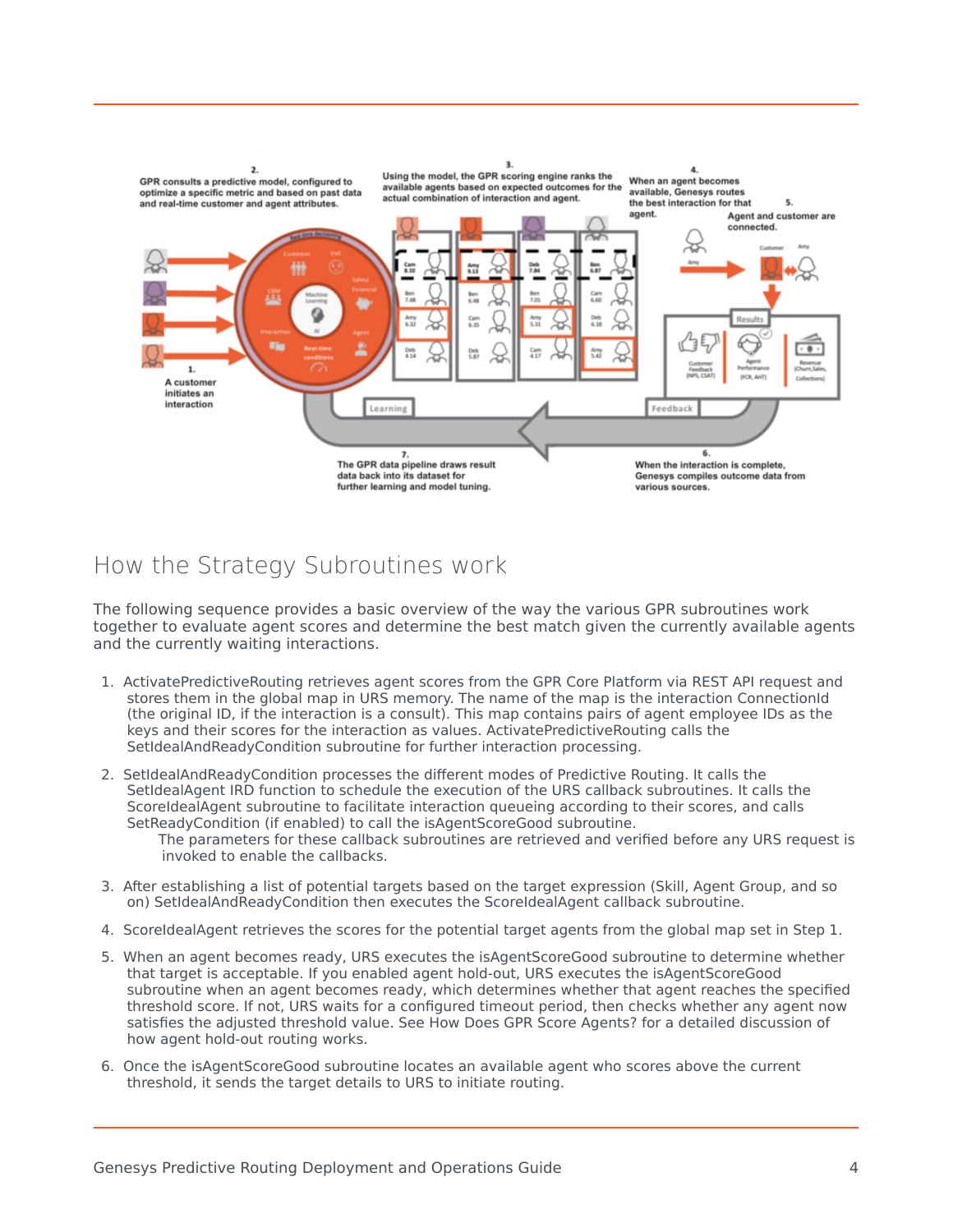

## <span id="page-3-0"></span>How the Strategy Subroutines work

The following sequence provides a basic overview of the way the various GPR subroutines work together to evaluate agent scores and determine the best match given the currently available agents and the currently waiting interactions.

- 1. ActivatePredictiveRouting retrieves agent scores from the GPR Core Platform via REST API request and stores them in the global map in URS memory. The name of the map is the interaction ConnectionId (the original ID, if the interaction is a consult). This map contains pairs of agent employee IDs as the keys and their scores for the interaction as values. ActivatePredictiveRouting calls the SetIdealAndReadyCondition subroutine for further interaction processing.
- 2. SetIdealAndReadyCondition processes the different modes of Predictive Routing. It calls the SetIdealAgent IRD function to schedule the execution of the URS callback subroutines. It calls the ScoreIdealAgent subroutine to facilitate interaction queueing according to their scores, and calls SetReadyCondition (if enabled) to call the isAgentScoreGood subroutine.
	- The parameters for these callback subroutines are retrieved and verified before any URS request is invoked to enable the callbacks.
- 3. After establishing a list of potential targets based on the target expression (Skill, Agent Group, and so on) SetIdealAndReadyCondition then executes the ScoreIdealAgent callback subroutine.
- 4. ScoreIdealAgent retrieves the scores for the potential target agents from the global map set in Step 1.
- 5. When an agent becomes ready, URS executes the isAgentScoreGood subroutine to determine whether that target is acceptable. If you enabled agent hold-out, URS executes the isAgentScoreGood subroutine when an agent becomes ready, which determines whether that agent reaches the specified threshold score. If not, URS waits for a configured timeout period, then checks whether any agent now satisfies the adjusted threshold value. See How Does GPR Score Agents? for a detailed discussion of how agent hold-out routing works.
- 6. Once the isAgentScoreGood subroutine locates an available agent who scores above the current threshold, it sends the target details to URS to initiate routing.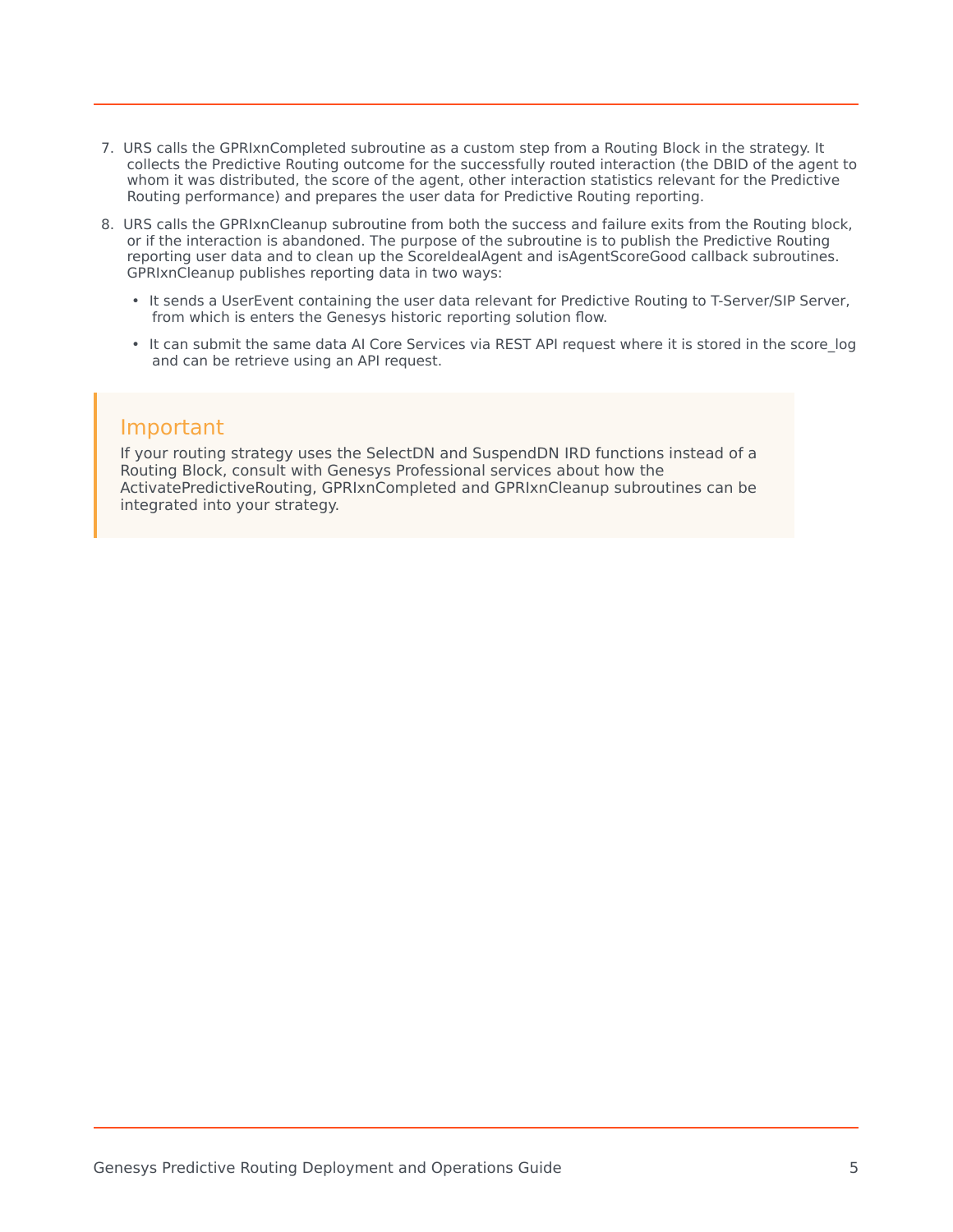- 7. URS calls the GPRIxnCompleted subroutine as a custom step from a Routing Block in the strategy. It collects the Predictive Routing outcome for the successfully routed interaction (the DBID of the agent to whom it was distributed, the score of the agent, other interaction statistics relevant for the Predictive Routing performance) and prepares the user data for Predictive Routing reporting.
- 8. URS calls the GPRIxnCleanup subroutine from both the success and failure exits from the Routing block, or if the interaction is abandoned. The purpose of the subroutine is to publish the Predictive Routing reporting user data and to clean up the ScoreIdealAgent and isAgentScoreGood callback subroutines. GPRIxnCleanup publishes reporting data in two ways:
	- It sends a UserEvent containing the user data relevant for Predictive Routing to T-Server/SIP Server, from which is enters the Genesys historic reporting solution flow.
	- It can submit the same data AI Core Services via REST API request where it is stored in the score log and can be retrieve using an API request.

### Important

If your routing strategy uses the SelectDN and SuspendDN IRD functions instead of a Routing Block, consult with Genesys Professional services about how the ActivatePredictiveRouting, GPRIxnCompleted and GPRIxnCleanup subroutines can be integrated into your strategy.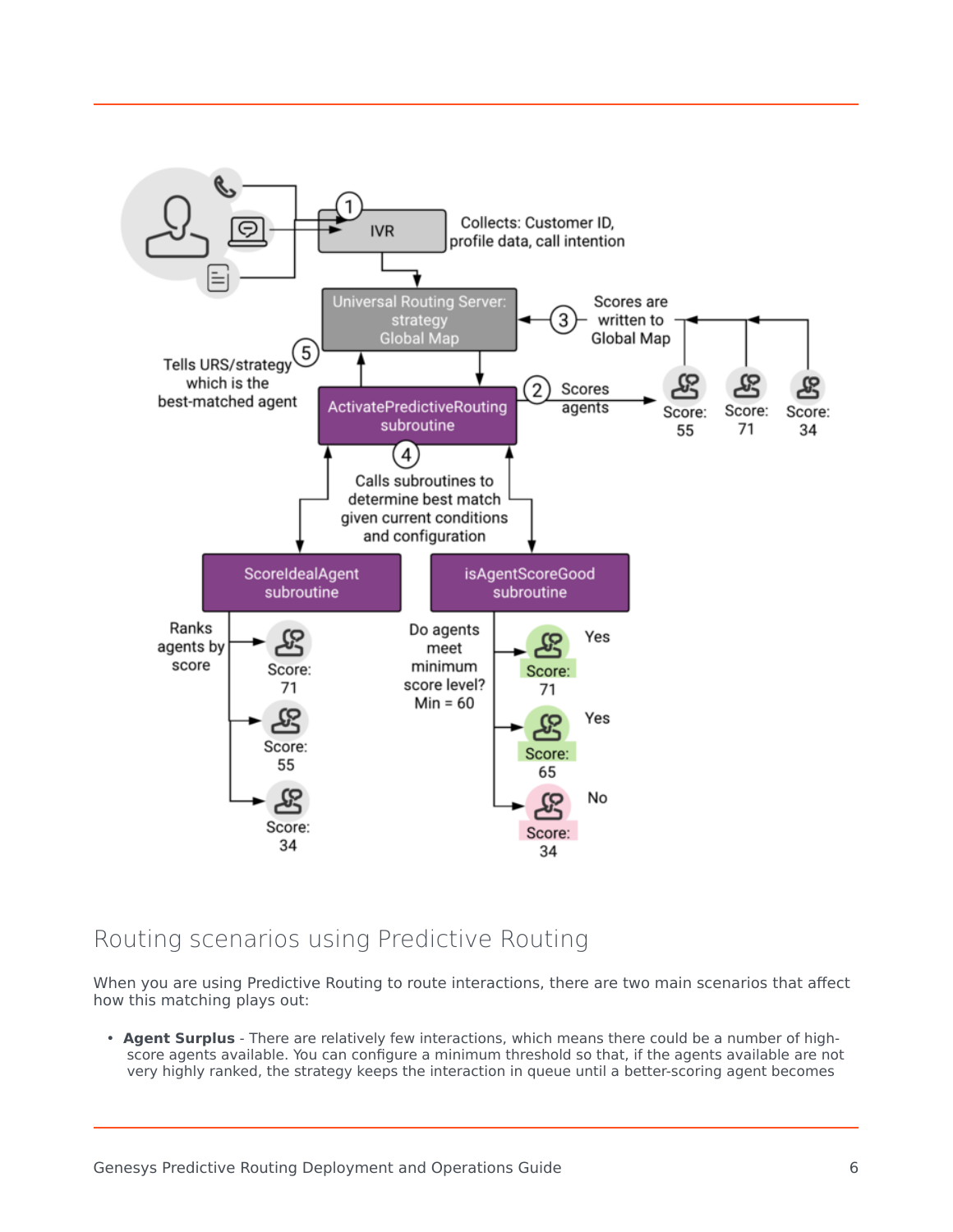

## <span id="page-5-0"></span>Routing scenarios using Predictive Routing

When you are using Predictive Routing to route interactions, there are two main scenarios that affect how this matching plays out:

• **Agent Surplus** - There are relatively few interactions, which means there could be a number of highscore agents available. You can configure a minimum threshold so that, if the agents available are not very highly ranked, the strategy keeps the interaction in queue until a better-scoring agent becomes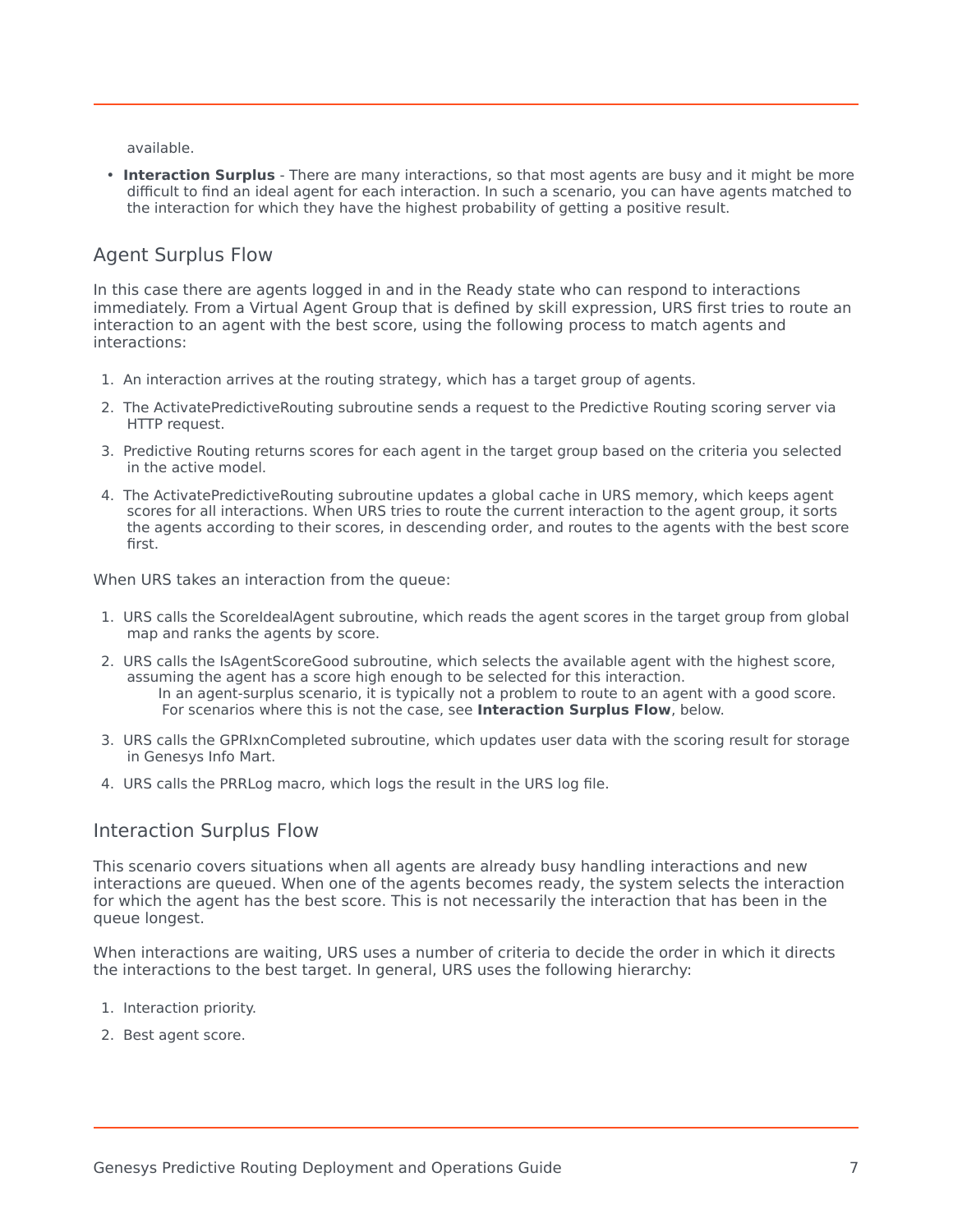available.

• **Interaction Surplus** - There are many interactions, so that most agents are busy and it might be more difficult to find an ideal agent for each interaction. In such a scenario, you can have agents matched to the interaction for which they have the highest probability of getting a positive result.

#### <span id="page-6-0"></span>Agent Surplus Flow

In this case there are agents logged in and in the Ready state who can respond to interactions immediately. From a Virtual Agent Group that is defined by skill expression, URS first tries to route an interaction to an agent with the best score, using the following process to match agents and interactions:

- 1. An interaction arrives at the routing strategy, which has a target group of agents.
- 2. The ActivatePredictiveRouting subroutine sends a request to the Predictive Routing scoring server via HTTP request.
- 3. Predictive Routing returns scores for each agent in the target group based on the criteria you selected in the active model.
- 4. The ActivatePredictiveRouting subroutine updates a global cache in URS memory, which keeps agent scores for all interactions. When URS tries to route the current interaction to the agent group, it sorts the agents according to their scores, in descending order, and routes to the agents with the best score first.

When URS takes an interaction from the queue:

- 1. URS calls the ScoreIdealAgent subroutine, which reads the agent scores in the target group from global map and ranks the agents by score.
- 2. URS calls the IsAgentScoreGood subroutine, which selects the available agent with the highest score, assuming the agent has a score high enough to be selected for this interaction. In an agent-surplus scenario, it is typically not a problem to route to an agent with a good score. For scenarios where this is not the case, see **Interaction Surplus Flow**, below.
- 3. URS calls the GPRIxnCompleted subroutine, which updates user data with the scoring result for storage in Genesys Info Mart.
- 4. URS calls the PRRLog macro, which logs the result in the URS log file.

#### <span id="page-6-1"></span>Interaction Surplus Flow

This scenario covers situations when all agents are already busy handling interactions and new interactions are queued. When one of the agents becomes ready, the system selects the interaction for which the agent has the best score. This is not necessarily the interaction that has been in the queue longest.

When interactions are waiting, URS uses a number of criteria to decide the order in which it directs the interactions to the best target. In general, URS uses the following hierarchy:

- 1. Interaction priority.
- 2. Best agent score.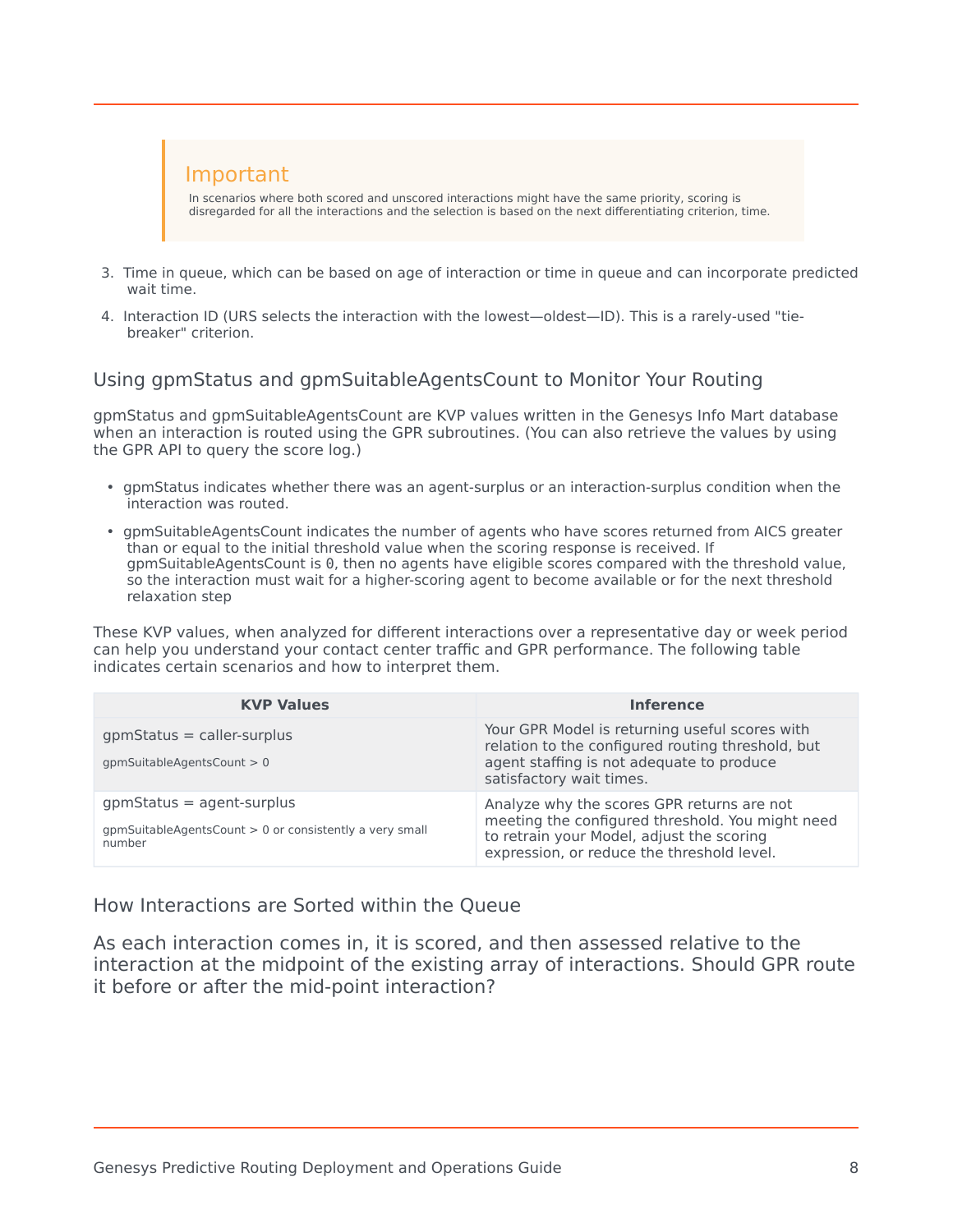

- 3. Time in queue, which can be based on age of interaction or time in queue and can incorporate predicted wait time.
- 4. Interaction ID (URS selects the interaction with the lowest—oldest—ID). This is a rarely-used "tiebreaker" criterion.

#### <span id="page-7-0"></span>Using gpmStatus and gpmSuitableAgentsCount to Monitor Your Routing

gpmStatus and gpmSuitableAgentsCount are KVP values written in the Genesys Info Mart database when an interaction is routed using the GPR subroutines. (You can also retrieve the values by using the GPR API to query the score log.)

- gpmStatus indicates whether there was an agent-surplus or an interaction-surplus condition when the interaction was routed.
- gpmSuitableAgentsCount indicates the number of agents who have scores returned from AICS greater than or equal to the initial threshold value when the scoring response is received. If gpmSuitableAgentsCount is 0, then no agents have eligible scores compared with the threshold value, so the interaction must wait for a higher-scoring agent to become available or for the next threshold relaxation step

These KVP values, when analyzed for different interactions over a representative day or week period can help you understand your contact center traffic and GPR performance. The following table indicates certain scenarios and how to interpret them.

| <b>KVP Values</b>                                                                                     | <b>Inference</b>                                                                                                                                                                          |
|-------------------------------------------------------------------------------------------------------|-------------------------------------------------------------------------------------------------------------------------------------------------------------------------------------------|
| $gpmStatus = caller-surplus$<br>$qpm$ SuitableAgentsCount > 0                                         | Your GPR Model is returning useful scores with<br>relation to the configured routing threshold, but<br>agent staffing is not adequate to produce<br>satisfactory wait times.              |
| $gpmStatus = agent-surplus$<br>$qpm$ SuitableAgentsCount $> 0$ or consistently a very small<br>number | Analyze why the scores GPR returns are not<br>meeting the configured threshold. You might need<br>to retrain your Model, adjust the scoring<br>expression, or reduce the threshold level. |

<span id="page-7-1"></span>How Interactions are Sorted within the Queue

As each interaction comes in, it is scored, and then assessed relative to the interaction at the midpoint of the existing array of interactions. Should GPR route it before or after the mid-point interaction?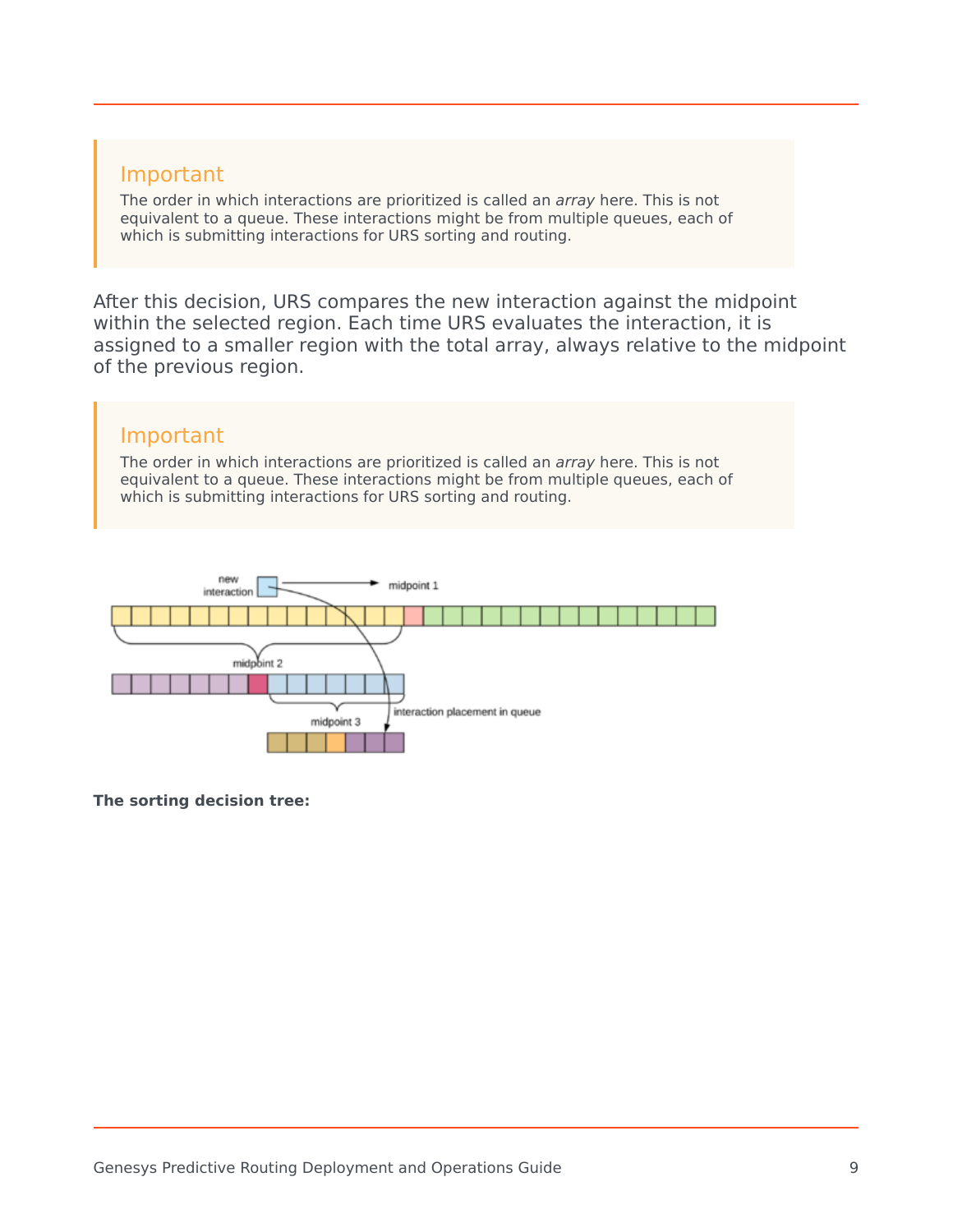

The order in which interactions are prioritized is called an *array* here. This is not equivalent to a queue. These interactions might be from multiple queues, each of which is submitting interactions for URS sorting and routing.

After this decision, URS compares the new interaction against the midpoint within the selected region. Each time URS evaluates the interaction, it is assigned to a smaller region with the total array, always relative to the midpoint of the previous region.

## Important

The order in which interactions are prioritized is called an *array* here. This is not equivalent to a queue. These interactions might be from multiple queues, each of which is submitting interactions for URS sorting and routing.



**The sorting decision tree:**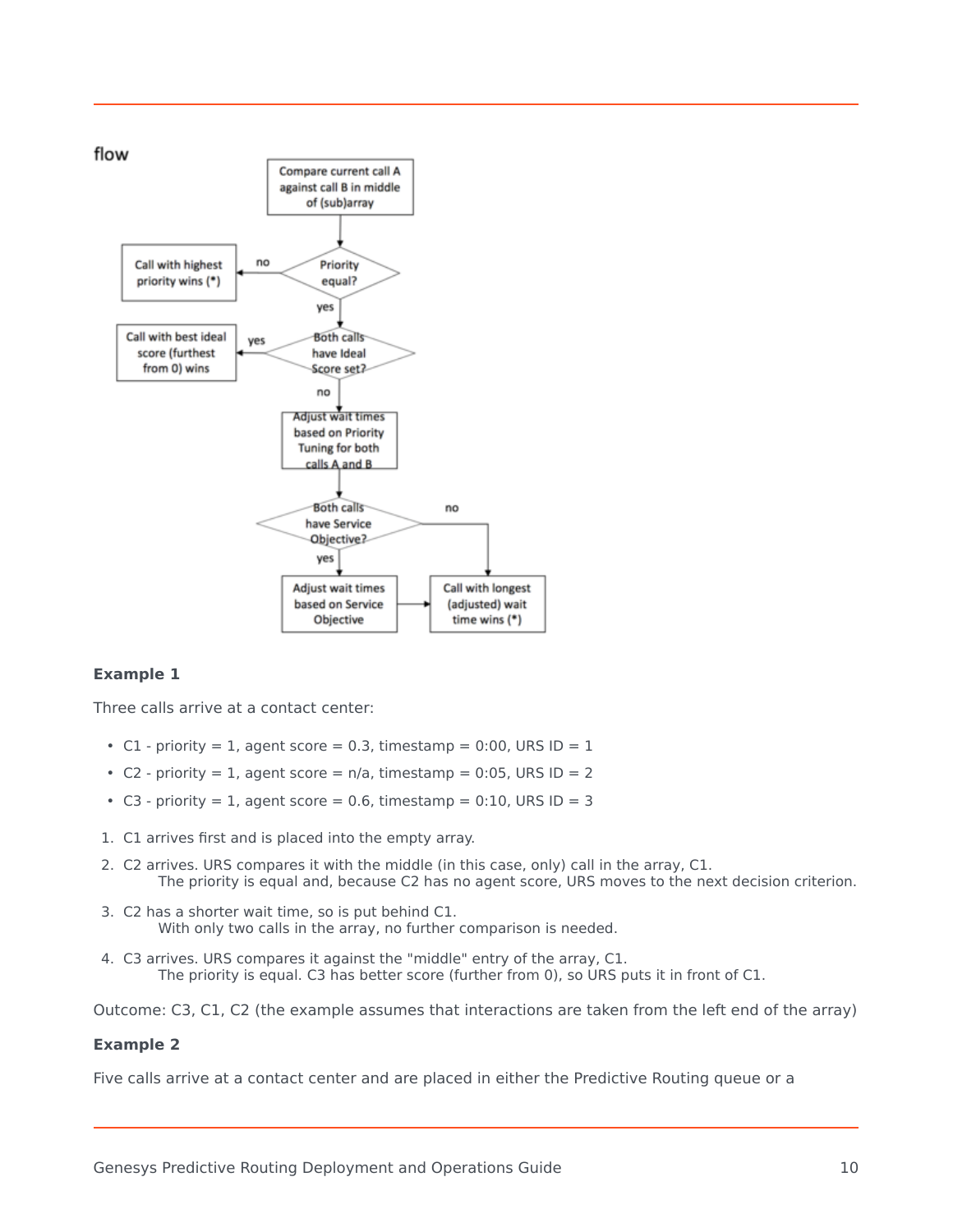

#### **Example 1**

Three calls arrive at a contact center:

- C1 priority = 1, agent score = 0.3, timestamp = 0:00, URS ID =  $1$
- C2 priority = 1, agent score =  $n/a$ , timestamp = 0:05, URS ID = 2
- C3 priority = 1, agent score = 0.6, timestamp =  $0:10$ , URS ID = 3
- 1. C1 arrives first and is placed into the empty array.
- 2. C2 arrives. URS compares it with the middle (in this case, only) call in the array, C1. The priority is equal and, because C2 has no agent score, URS moves to the next decision criterion.
- 3. C2 has a shorter wait time, so is put behind C1. With only two calls in the array, no further comparison is needed.
- 4. C3 arrives. URS compares it against the "middle" entry of the array, C1. The priority is equal. C3 has better score (further from 0), so URS puts it in front of C1.

Outcome: C3, C1, C2 (the example assumes that interactions are taken from the left end of the array)

#### **Example 2**

Five calls arrive at a contact center and are placed in either the Predictive Routing queue or a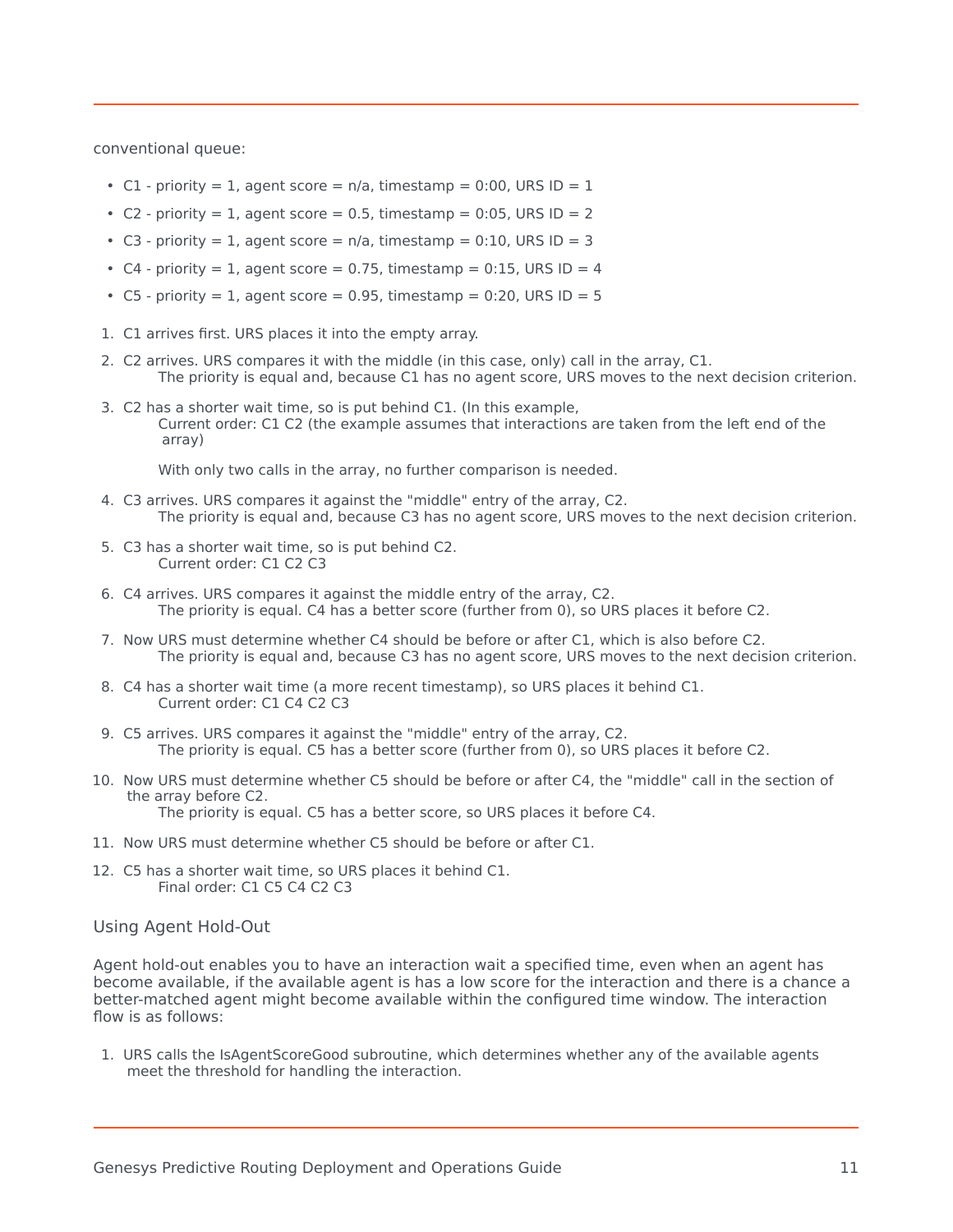conventional queue:

- C1 priority = 1, agent score =  $n/a$ , timestamp = 0:00, URS ID = 1
- C2 priority = 1, agent score =  $0.5$ , timestamp =  $0.05$ , URS ID = 2
- C3 priority = 1, agent score =  $n/a$ , timestamp = 0:10, URS ID = 3
- C4 priority = 1, agent score = 0.75, timestamp =  $0.15$ , URS ID = 4
- C5 priority = 1, agent score = 0.95, timestamp = 0:20, URS ID = 5
- 1. C1 arrives first. URS places it into the empty array.
- 2. C2 arrives. URS compares it with the middle (in this case, only) call in the array, C1. The priority is equal and, because C1 has no agent score, URS moves to the next decision criterion.
- 3. C2 has a shorter wait time, so is put behind C1. (In this example, Current order: C1 C2 (the example assumes that interactions are taken from the left end of the array)

With only two calls in the array, no further comparison is needed.

- 4. C3 arrives. URS compares it against the "middle" entry of the array, C2. The priority is equal and, because C3 has no agent score, URS moves to the next decision criterion.
- 5. C3 has a shorter wait time, so is put behind C2. Current order: C1 C2 C3
- 6. C4 arrives. URS compares it against the middle entry of the array, C2. The priority is equal. C4 has a better score (further from 0), so URS places it before C2.
- 7. Now URS must determine whether C4 should be before or after C1, which is also before C2. The priority is equal and, because C3 has no agent score, URS moves to the next decision criterion.
- 8. C4 has a shorter wait time (a more recent timestamp), so URS places it behind C1. Current order: C1 C4 C2 C3
- 9. C5 arrives. URS compares it against the "middle" entry of the array, C2. The priority is equal. C5 has a better score (further from 0), so URS places it before C2.
- 10. Now URS must determine whether C5 should be before or after C4, the "middle" call in the section of the array before C2.

The priority is equal. C5 has a better score, so URS places it before C4.

- 11. Now URS must determine whether C5 should be before or after C1.
- 12. C5 has a shorter wait time, so URS places it behind C1. Final order: C1 C5 C4 C2 C3

#### Using Agent Hold-Out

Agent hold-out enables you to have an interaction wait a specified time, even when an agent has become available, if the available agent is has a low score for the interaction and there is a chance a better-matched agent might become available within the configured time window. The interaction flow is as follows:

1. URS calls the IsAgentScoreGood subroutine, which determines whether any of the available agents meet the threshold for handling the interaction.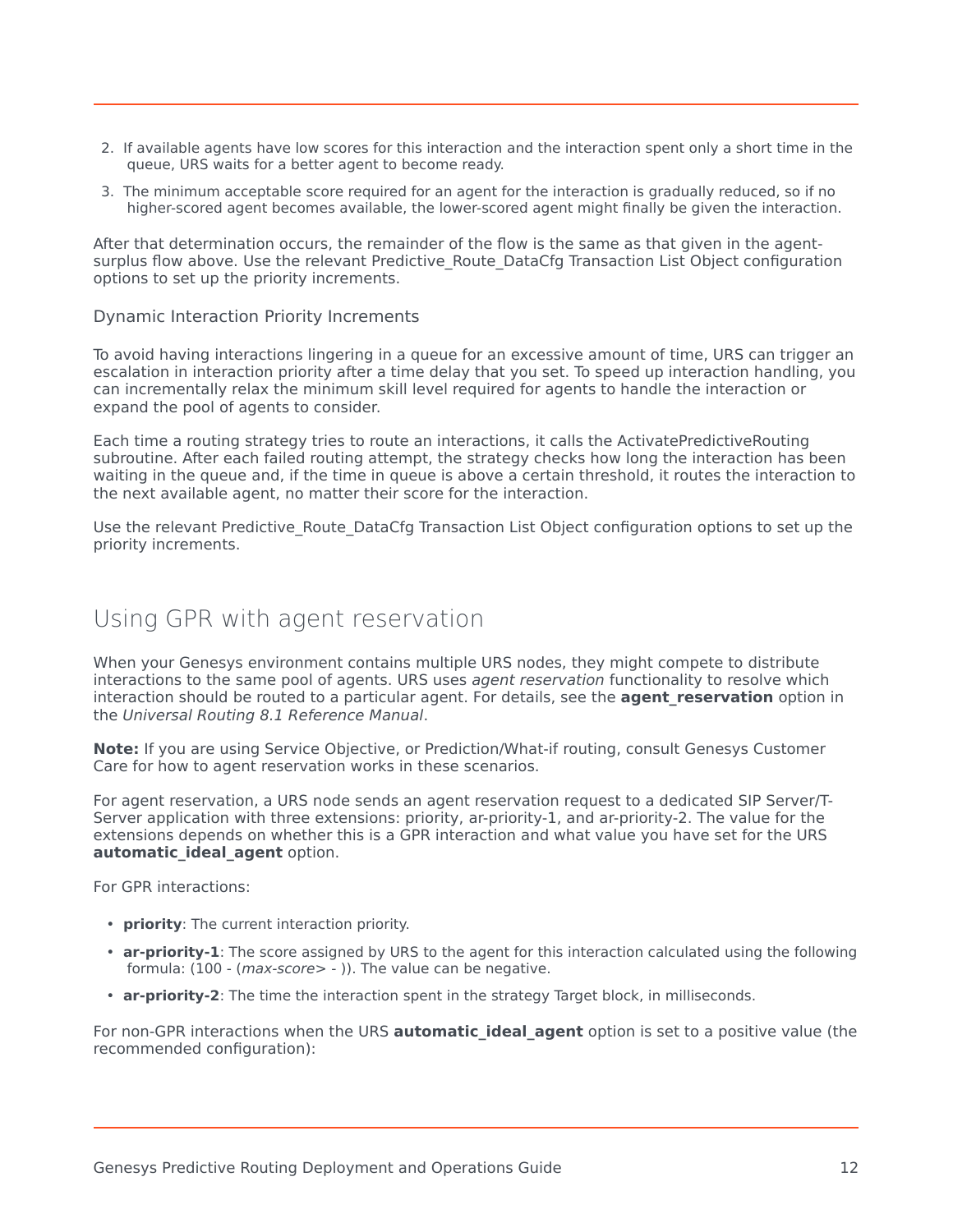- 2. If available agents have low scores for this interaction and the interaction spent only a short time in the queue, URS waits for a better agent to become ready.
- 3. The minimum acceptable score required for an agent for the interaction is gradually reduced, so if no higher-scored agent becomes available, the lower-scored agent might finally be given the interaction.

After that determination occurs, the remainder of the flow is the same as that given in the agentsurplus flow above. Use the relevant Predictive Route DataCfg Transaction List Object configuration options to set up the priority increments.

#### Dynamic Interaction Priority Increments

To avoid having interactions lingering in a queue for an excessive amount of time, URS can trigger an escalation in interaction priority after a time delay that you set. To speed up interaction handling, you can incrementally relax the minimum skill level required for agents to handle the interaction or expand the pool of agents to consider.

Each time a routing strategy tries to route an interactions, it calls the ActivatePredictiveRouting subroutine. After each failed routing attempt, the strategy checks how long the interaction has been waiting in the queue and, if the time in queue is above a certain threshold, it routes the interaction to the next available agent, no matter their score for the interaction.

Use the relevant Predictive Route DataCfg Transaction List Object configuration options to set up the priority increments.

## <span id="page-11-0"></span>Using GPR with agent reservation

When your Genesys environment contains multiple URS nodes, they might compete to distribute interactions to the same pool of agents. URS uses *agent reservation* functionality to resolve which interaction should be routed to a particular agent. For details, see the **agent reservation** option in the *Universal Routing 8.1 Reference Manual*.

**Note:** If you are using Service Objective, or Prediction/What-if routing, consult Genesys Customer Care for how to agent reservation works in these scenarios.

For agent reservation, a URS node sends an agent reservation request to a dedicated SIP Server/T-Server application with three extensions: priority, ar-priority-1, and ar-priority-2. The value for the extensions depends on whether this is a GPR interaction and what value you have set for the URS **automatic\_ideal\_agent** option.

For GPR interactions:

- **priority**: The current interaction priority.
- **ar-priority-1**: The score assigned by URS to the agent for this interaction calculated using the following formula: (100 - (*max-score*> - )). The value can be negative.
- **ar-priority-2**: The time the interaction spent in the strategy Target block, in milliseconds.

For non-GPR interactions when the URS **automatic ideal agent** option is set to a positive value (the recommended configuration):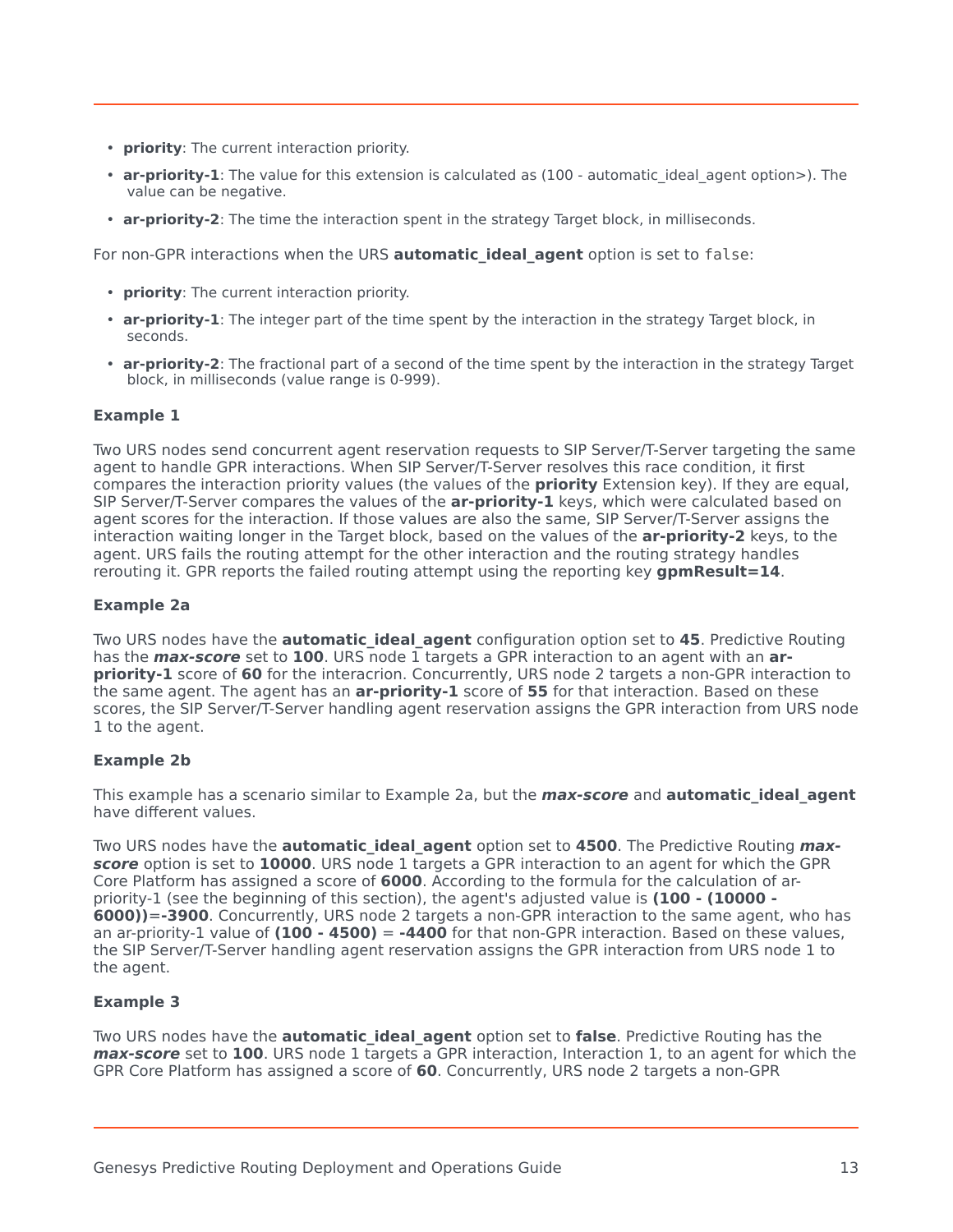- **priority**: The current interaction priority.
- **ar-priority-1**: The value for this extension is calculated as (100 automatic ideal agent option>). The value can be negative.
- **ar-priority-2**: The time the interaction spent in the strategy Target block, in milliseconds.

For non-GPR interactions when the URS **automatic ideal agent** option is set to false:

- **priority**: The current interaction priority.
- **ar-priority-1**: The integer part of the time spent by the interaction in the strategy Target block, in seconds.
- **ar-priority-2**: The fractional part of a second of the time spent by the interaction in the strategy Target block, in milliseconds (value range is 0-999).

#### **Example 1**

Two URS nodes send concurrent agent reservation requests to SIP Server/T-Server targeting the same agent to handle GPR interactions. When SIP Server/T-Server resolves this race condition, it first compares the interaction priority values (the values of the **priority** Extension key). If they are equal, SIP Server/T-Server compares the values of the **ar-priority-1** keys, which were calculated based on agent scores for the interaction. If those values are also the same, SIP Server/T-Server assigns the interaction waiting longer in the Target block, based on the values of the **ar-priority-2** keys, to the agent. URS fails the routing attempt for the other interaction and the routing strategy handles rerouting it. GPR reports the failed routing attempt using the reporting key **gpmResult=14**.

#### **Example 2a**

Two URS nodes have the **automatic ideal agent** configuration option set to 45. Predictive Routing has the **max-score** set to **100**. URS node 1 targets a GPR interaction to an agent with an **arpriority-1** score of **60** for the interacrion. Concurrently, URS node 2 targets a non-GPR interaction to the same agent. The agent has an **ar-priority-1** score of **55** for that interaction. Based on these scores, the SIP Server/T-Server handling agent reservation assigns the GPR interaction from URS node 1 to the agent.

#### **Example 2b**

This example has a scenario similar to Example 2a, but the **max-score** and **automatic\_ideal\_agent** have different values.

Two URS nodes have the **automatic ideal agent** option set to 4500. The Predictive Routing *max***score** option is set to **10000**. URS node 1 targets a GPR interaction to an agent for which the GPR Core Platform has assigned a score of **6000**. According to the formula for the calculation of arpriority-1 (see the beginning of this section), the agent's adjusted value is **(100 - (10000 - 6000))**=**-3900**. Concurrently, URS node 2 targets a non-GPR interaction to the same agent, who has an ar-priority-1 value of **(100 - 4500)** = **-4400** for that non-GPR interaction. Based on these values, the SIP Server/T-Server handling agent reservation assigns the GPR interaction from URS node 1 to the agent.

#### **Example 3**

Two URS nodes have the **automatic ideal agent** option set to **false**. Predictive Routing has the **max-score** set to **100**. URS node 1 targets a GPR interaction, Interaction 1, to an agent for which the GPR Core Platform has assigned a score of **60**. Concurrently, URS node 2 targets a non-GPR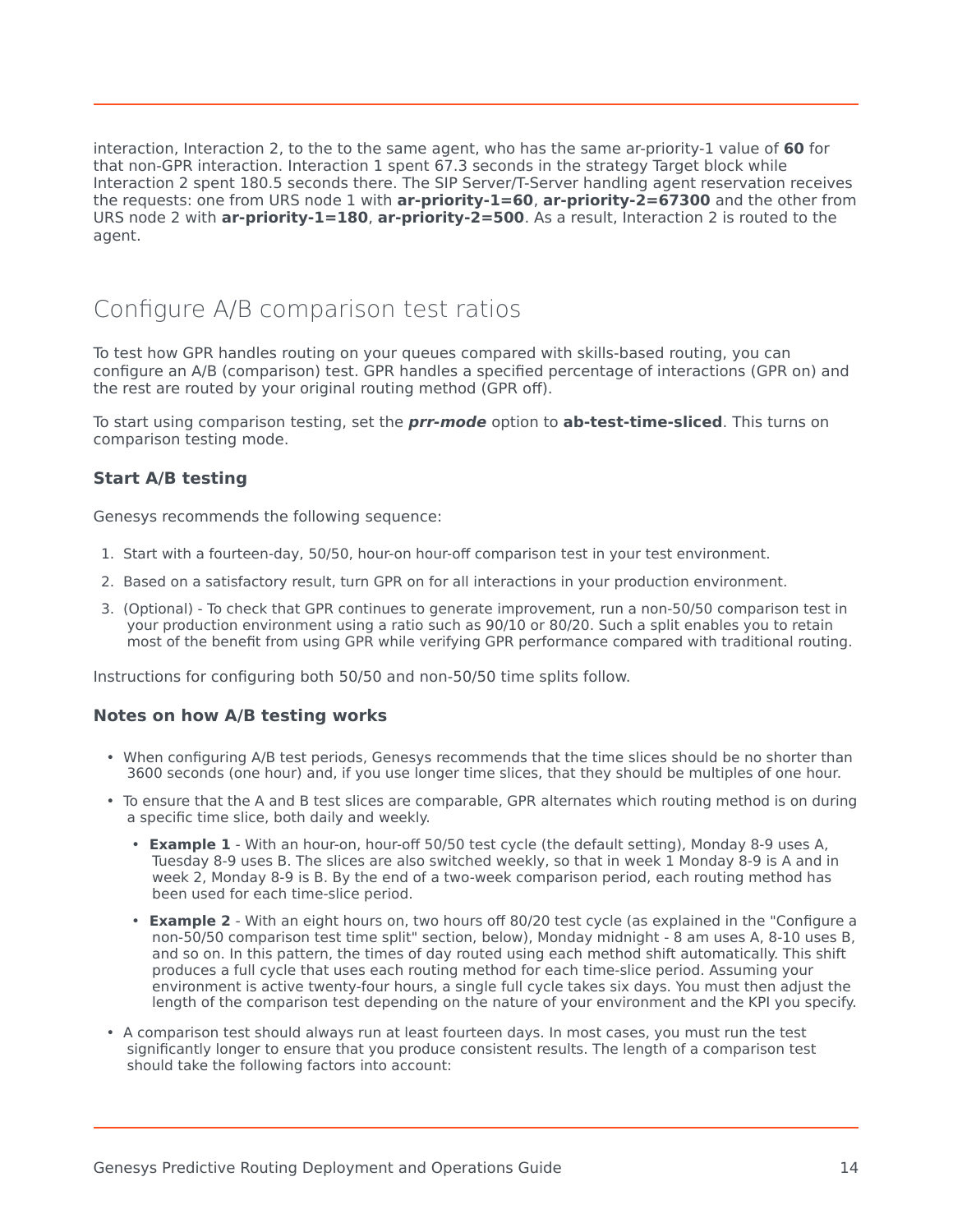interaction, Interaction 2, to the to the same agent, who has the same ar-priority-1 value of **60** for that non-GPR interaction. Interaction 1 spent 67.3 seconds in the strategy Target block while Interaction 2 spent 180.5 seconds there. The SIP Server/T-Server handling agent reservation receives the requests: one from URS node 1 with **ar-priority-1=60**, **ar-priority-2=67300** and the other from URS node 2 with **ar-priority-1=180**, **ar-priority-2=500**. As a result, Interaction 2 is routed to the agent.

## <span id="page-13-0"></span>Configure A/B comparison test ratios

To test how GPR handles routing on your queues compared with skills-based routing, you can configure an A/B (comparison) test. GPR handles a specified percentage of interactions (GPR on) and the rest are routed by your original routing method (GPR off).

To start using comparison testing, set the **prr-mode** option to **ab-test-time-sliced**. This turns on comparison testing mode.

#### <span id="page-13-1"></span>**Start A/B testing**

Genesys recommends the following sequence:

- 1. Start with a fourteen-day, 50/50, hour-on hour-off comparison test in your test environment.
- 2. Based on a satisfactory result, turn GPR on for all interactions in your production environment.
- 3. (Optional) To check that GPR continues to generate improvement, run a non-50/50 comparison test in your production environment using a ratio such as 90/10 or 80/20. Such a split enables you to retain most of the benefit from using GPR while verifying GPR performance compared with traditional routing.

Instructions for configuring both 50/50 and non-50/50 time splits follow.

#### <span id="page-13-2"></span>**Notes on how A/B testing works**

- When configuring A/B test periods, Genesys recommends that the time slices should be no shorter than 3600 seconds (one hour) and, if you use longer time slices, that they should be multiples of one hour.
- To ensure that the A and B test slices are comparable, GPR alternates which routing method is on during a specific time slice, both daily and weekly.
	- **Example 1** With an hour-on, hour-off 50/50 test cycle (the default setting), Monday 8-9 uses A, Tuesday 8-9 uses B. The slices are also switched weekly, so that in week 1 Monday 8-9 is A and in week 2, Monday 8-9 is B. By the end of a two-week comparison period, each routing method has been used for each time-slice period.
	- **Example 2** With an eight hours on, two hours off 80/20 test cycle (as explained in the "Configure a non-50/50 comparison test time split" section, below), Monday midnight - 8 am uses A, 8-10 uses B, and so on. In this pattern, the times of day routed using each method shift automatically. This shift produces a full cycle that uses each routing method for each time-slice period. Assuming your environment is active twenty-four hours, a single full cycle takes six days. You must then adjust the length of the comparison test depending on the nature of your environment and the KPI you specify.
- A comparison test should always run at least fourteen days. In most cases, you must run the test significantly longer to ensure that you produce consistent results. The length of a comparison test should take the following factors into account: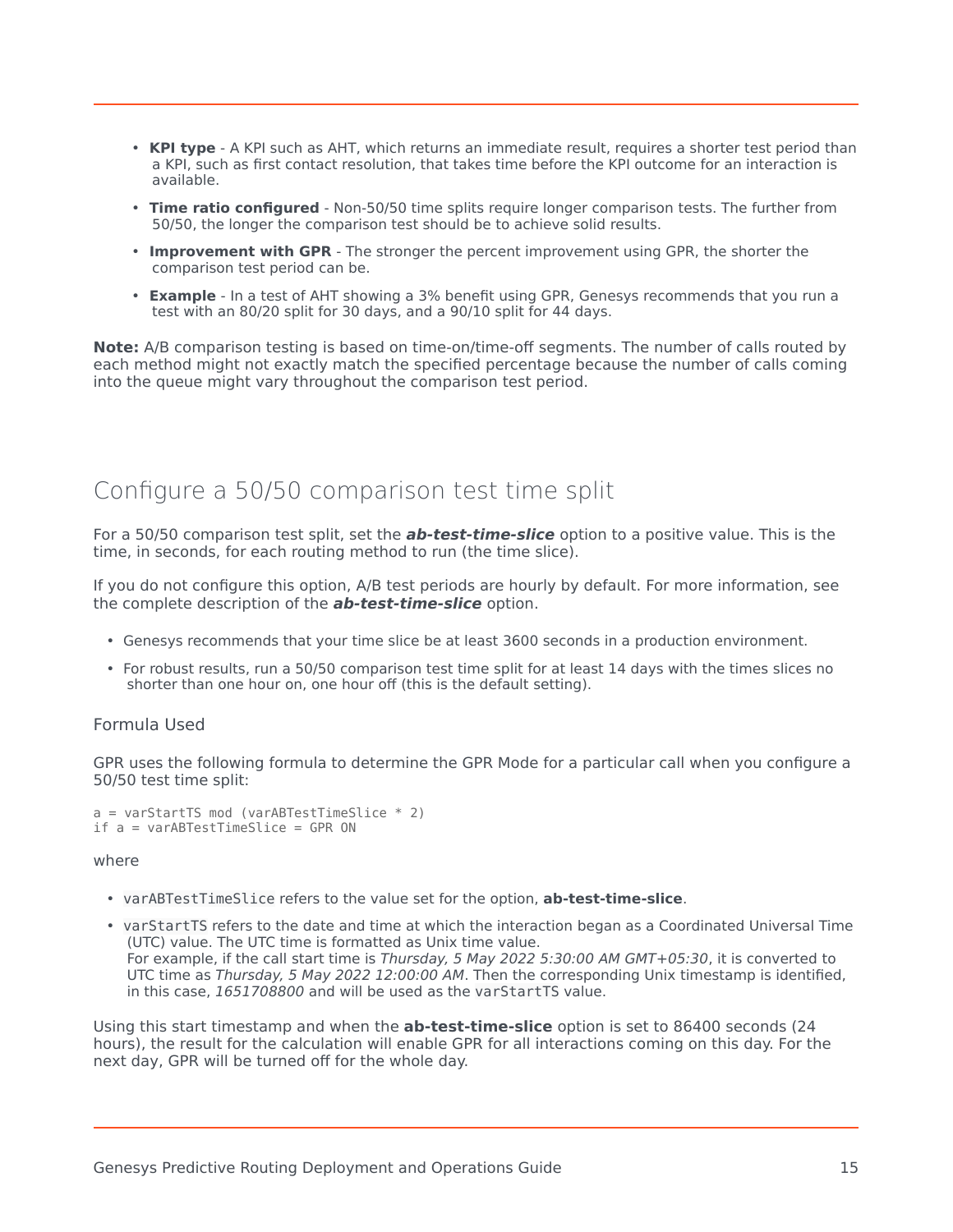- **KPI type** A KPI such as AHT, which returns an immediate result, requires a shorter test period than a KPI, such as first contact resolution, that takes time before the KPI outcome for an interaction is available.
- **Time ratio configured** Non-50/50 time splits require longer comparison tests. The further from 50/50, the longer the comparison test should be to achieve solid results.
- **Improvement with GPR** The stronger the percent improvement using GPR, the shorter the comparison test period can be.
- **Example** In a test of AHT showing a 3% benefit using GPR, Genesys recommends that you run a test with an 80/20 split for 30 days, and a 90/10 split for 44 days.

**Note:** A/B comparison testing is based on time-on/time-off segments. The number of calls routed by each method might not exactly match the specified percentage because the number of calls coming into the queue might vary throughout the comparison test period.

## <span id="page-14-0"></span>Configure a 50/50 comparison test time split

For a 50/50 comparison test split, set the **ab-test-time-slice** option to a positive value. This is the time, in seconds, for each routing method to run (the time slice).

If you do not configure this option, A/B test periods are hourly by default. For more information, see the complete description of the **ab-test-time-slice** option.

- Genesys recommends that your time slice be at least 3600 seconds in a production environment.
- For robust results, run a 50/50 comparison test time split for at least 14 days with the times slices no shorter than one hour on, one hour off (this is the default setting).

#### <span id="page-14-1"></span>Formula Used

GPR uses the following formula to determine the GPR Mode for a particular call when you configure a 50/50 test time split:

```
a = varStartTS \mod (varABTestTimeSlice * 2)if a = varABTestTimeSlice = GPR ON
```
where

- varABTestTimeSlice refers to the value set for the option, **ab-test-time-slice**.
- varStartTS refers to the date and time at which the interaction began as a Coordinated Universal Time (UTC) value. The UTC time is formatted as Unix time value. For example, if the call start time is *Thursday, 5 May 2022 5:30:00 AM GMT+05:30*, it is converted to UTC time as *Thursday, 5 May 2022 12:00:00 AM*. Then the corresponding Unix timestamp is identified, in this case, *1651708800* and will be used as the varStartTS value.

Using this start timestamp and when the **ab-test-time-slice** option is set to 86400 seconds (24 hours), the result for the calculation will enable GPR for all interactions coming on this day. For the next day, GPR will be turned off for the whole day.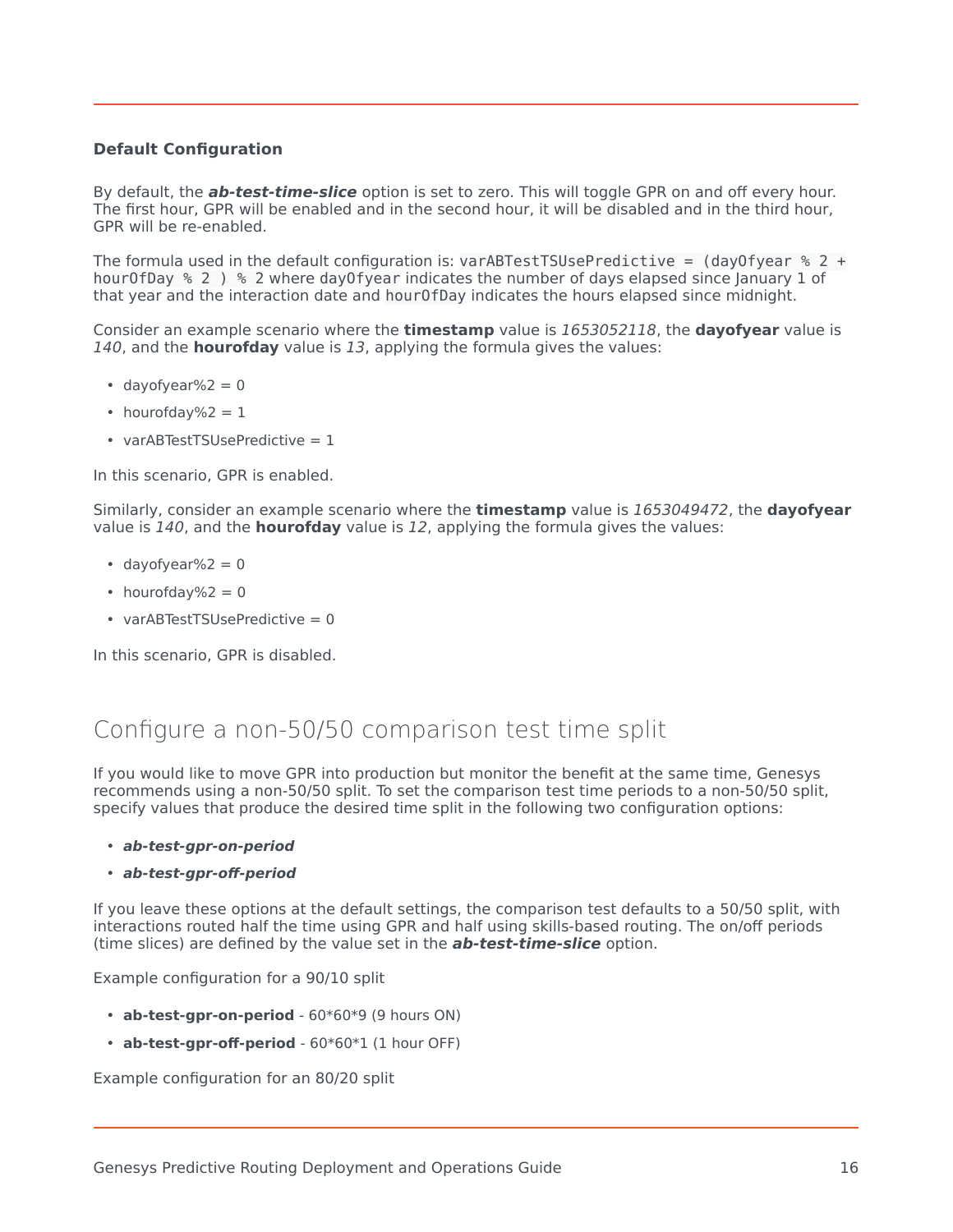#### **Default Configuration**

By default, the **ab-test-time-slice** option is set to zero. This will toggle GPR on and off every hour. The first hour, GPR will be enabled and in the second hour, it will be disabled and in the third hour, GPR will be re-enabled.

The formula used in the default configuration is: varABTestTSUsePredictive =  $(day0fyear % 2 +$ hourOfDay % 2) % 2 where dayOfyear indicates the number of days elapsed since January 1 of that year and the interaction date and hourOfDay indicates the hours elapsed since midnight.

Consider an example scenario where the **timestamp** value is *1653052118*, the **dayofyear** value is *140*, and the **hourofday** value is *13*, applying the formula gives the values:

- $\cdot$  dayofyear%2 = 0
- hourofday% $2 = 1$
- varABTestTSUsePredictive = 1

In this scenario, GPR is enabled.

Similarly, consider an example scenario where the **timestamp** value is *1653049472*, the **dayofyear** value is *140*, and the **hourofday** value is *12*, applying the formula gives the values:

- dayofyear% $2 = 0$
- hourofday% $2 = 0$
- varABTestTSUsePredictive = 0

In this scenario, GPR is disabled.

## <span id="page-15-0"></span>Configure a non-50/50 comparison test time split

If you would like to move GPR into production but monitor the benefit at the same time, Genesys recommends using a non-50/50 split. To set the comparison test time periods to a non-50/50 split, specify values that produce the desired time split in the following two configuration options:

- **ab-test-gpr-on-period**
- **ab-test-gpr-off-period**

If you leave these options at the default settings, the comparison test defaults to a 50/50 split, with interactions routed half the time using GPR and half using skills-based routing. The on/off periods (time slices) are defined by the value set in the **ab-test-time-slice** option.

Example configuration for a 90/10 split

- **ab-test-gpr-on-period** 60\*60\*9 (9 hours ON)
- **ab-test-gpr-off-period** 60\*60\*1 (1 hour OFF)

Example configuration for an 80/20 split